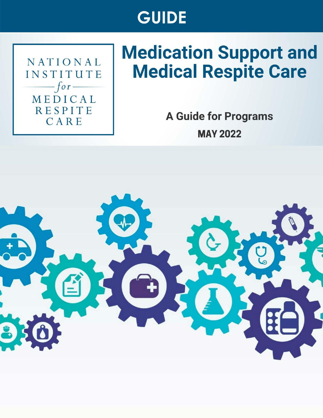# **GUIDE**

NATIONAL INSTITUTE  $-$ for $-$ MEDICAL **RESPITE** CARE

# **Medication Support and Medical Respite Care**

**A Guide for Programs MAY 2022** 

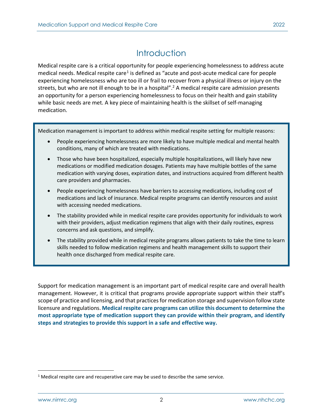# **Introduction**

<span id="page-1-1"></span>Medical respite care is a critical opportunity for people experiencing homelessness to address acute medical needs. Medical respite care<sup>[1](#page-1-0)</sup> is defined as "acute and post-acute medical care for people experiencing homelessness who are too ill or frail to recover from a physical illness or injury on the streets, but who are not ill enough to be in a hospital".<sup>2</sup> A medical respite care admission presents an opportunity for a person experiencing homelessness to focus on their health and gain stability while basic needs are met. A key piece of maintaining health is the skillset of self-managing medication.

Medication management is important to address within medical respite setting for multiple reasons:

- People experiencing homelessness are more likely to have multiple medical and mental health conditions, many of which are treated with medications.
- Those who have been hospitalized, especially multiple hospitalizations, will likely have new medications or modified medication dosages. Patients may have multiple bottles of the same medication with varying doses, expiration dates, and instructions acquired from different health care providers and pharmacies.
- People experiencing homelessness have barriers to accessing medications, including cost of medications and lack of insurance. Medical respite programs can identify resources and assist with accessing needed medications.
- The stability provided while in medical respite care provides opportunity for individuals to work with their providers, adjust medication regimens that align with their daily routines, express concerns and ask questions, and simplify.
- The stability provided while in medical respite programs allows patients to take the time to learn skills needed to follow medication regimens and health management skills to support their health once discharged from medical respite care.

Support for medication management is an important part of medical respite care and overall health management. However, it is critical that programs provide appropriate support within their staff's scope of practice and licensing, and that practices for medication storage and supervision follow state licensure and regulations. **Medical respite care programs can utilize this document to determine the most appropriate type of medication support they can provide within their program, and identify steps and strategies to provide this support in a safe and effective way.**

<span id="page-1-0"></span> $1$  Medical respite care and recuperative care may be used to describe the same service.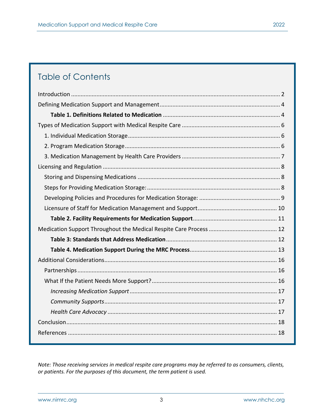# Table of Contents

*Note: Those receiving services in medical respite care programs may be referred to as consumers, clients, or patients. For the purposes of this document, the term patient is used.*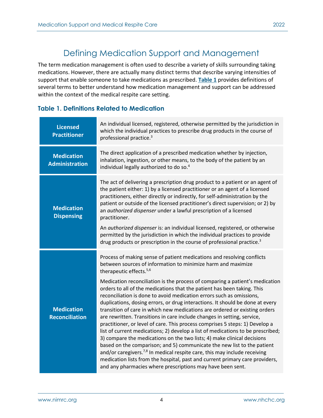## Defining Medication Support and Management

<span id="page-3-0"></span>The term medication management is often used to describe a variety of skills surrounding taking medications. However, there are actually many distinct terms that describe varying intensities of support that enable someone to take medications as prescribed. **[Table 1](#page-3-1)** provides definitions of several terms to better understand how medication management and support can be addressed within the context of the medical respite care setting.

### <span id="page-3-1"></span>**Table 1. Definitions Related to Medication**

| <b>Licensed</b><br><b>Practitioner</b>     | An individual licensed, registered, otherwise permitted by the jurisdiction in<br>which the individual practices to prescribe drug products in the course of<br>professional practice. <sup>3</sup>                                                                                                                                                                                                                                                                                                                                                                                                                                                                                                                                                                                                                                                                                                                                                                                                                                       |
|--------------------------------------------|-------------------------------------------------------------------------------------------------------------------------------------------------------------------------------------------------------------------------------------------------------------------------------------------------------------------------------------------------------------------------------------------------------------------------------------------------------------------------------------------------------------------------------------------------------------------------------------------------------------------------------------------------------------------------------------------------------------------------------------------------------------------------------------------------------------------------------------------------------------------------------------------------------------------------------------------------------------------------------------------------------------------------------------------|
| <b>Medication</b><br><b>Administration</b> | The direct application of a prescribed medication whether by injection,<br>inhalation, ingestion, or other means, to the body of the patient by an<br>individual legally authorized to do so. <sup>4</sup>                                                                                                                                                                                                                                                                                                                                                                                                                                                                                                                                                                                                                                                                                                                                                                                                                                |
| <b>Medication</b><br><b>Dispensing</b>     | The act of delivering a prescription drug product to a patient or an agent of<br>the patient either: 1) by a licensed practitioner or an agent of a licensed<br>practitioners, either directly or indirectly, for self-administration by the<br>patient or outside of the licensed practitioner's direct supervision; or 2) by<br>an authorized dispenser under a lawful prescription of a licensed<br>practitioner.                                                                                                                                                                                                                                                                                                                                                                                                                                                                                                                                                                                                                      |
|                                            | An authorized dispenser is: an individual licensed, registered, or otherwise<br>permitted by the jurisdiction in which the individual practices to provide<br>drug products or prescription in the course of professional practice. <sup>3</sup>                                                                                                                                                                                                                                                                                                                                                                                                                                                                                                                                                                                                                                                                                                                                                                                          |
|                                            | Process of making sense of patient medications and resolving conflicts<br>between sources of information to minimize harm and maximize<br>therapeutic effects. <sup>5,6</sup>                                                                                                                                                                                                                                                                                                                                                                                                                                                                                                                                                                                                                                                                                                                                                                                                                                                             |
| <b>Medication</b><br><b>Reconciliation</b> | Medication reconciliation is the process of comparing a patient's medication<br>orders to all of the medications that the patient has been taking. This<br>reconciliation is done to avoid medication errors such as omissions,<br>duplications, dosing errors, or drug interactions. It should be done at every<br>transition of care in which new medications are ordered or existing orders<br>are rewritten. Transitions in care include changes in setting, service,<br>practitioner, or level of care. This process comprises 5 steps: 1) Develop a<br>list of current medications; 2) develop a list of medications to be prescribed;<br>3) compare the medications on the two lists; 4) make clinical decisions<br>based on the comparison; and 5) communicate the new list to the patient<br>and/or caregivers. <sup>7,8</sup> In medical respite care, this may include receiving<br>medication lists from the hospital, past and current primary care providers,<br>and any pharmacies where prescriptions may have been sent. |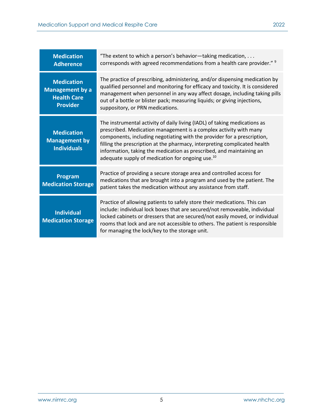| <b>Medication</b><br><b>Adherence</b>                                                | "The extent to which a person's behavior-taking medication,<br>corresponds with agreed recommendations from a health care provider." <sup>9</sup>                                                                                                                                                                                                                                                                                              |  |  |  |  |  |
|--------------------------------------------------------------------------------------|------------------------------------------------------------------------------------------------------------------------------------------------------------------------------------------------------------------------------------------------------------------------------------------------------------------------------------------------------------------------------------------------------------------------------------------------|--|--|--|--|--|
| <b>Medication</b><br><b>Management by a</b><br><b>Health Care</b><br><b>Provider</b> | The practice of prescribing, administering, and/or dispensing medication by<br>qualified personnel and monitoring for efficacy and toxicity. It is considered<br>management when personnel in any way affect dosage, including taking pills<br>out of a bottle or blister pack; measuring liquids; or giving injections,<br>suppository, or PRN medications.                                                                                   |  |  |  |  |  |
| <b>Medication</b><br><b>Management by</b><br><b>Individuals</b>                      | The instrumental activity of daily living (IADL) of taking medications as<br>prescribed. Medication management is a complex activity with many<br>components, including negotiating with the provider for a prescription,<br>filling the prescription at the pharmacy, interpreting complicated health<br>information, taking the medication as prescribed, and maintaining an<br>adequate supply of medication for ongoing use. <sup>10</sup> |  |  |  |  |  |
| Program<br><b>Medication Storage</b>                                                 | Practice of providing a secure storage area and controlled access for<br>medications that are brought into a program and used by the patient. The<br>patient takes the medication without any assistance from staff.                                                                                                                                                                                                                           |  |  |  |  |  |
| <b>Individual</b><br><b>Medication Storage</b>                                       | Practice of allowing patients to safely store their medications. This can<br>include: individual lock boxes that are secured/not removeable, individual<br>locked cabinets or dressers that are secured/not easily moved, or individual<br>rooms that lock and are not accessible to others. The patient is responsible<br>for managing the lock/key to the storage unit.                                                                      |  |  |  |  |  |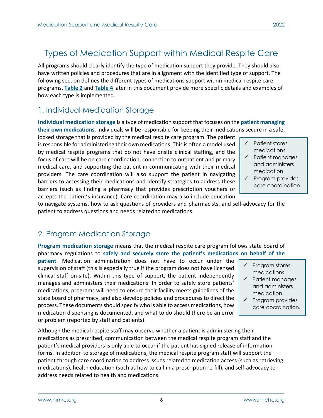# <span id="page-5-0"></span>Types of Medication Support within Medical Respite Care

All programs should clearly identify the type of medication support they provide. They should also have written policies and procedures that are in alignment with the identified type of support. The following section defines the different types of medications support within medical respite care programs. **[Table 2](#page-10-0)** and **[Table 4](#page-12-0)** later in this document provide more specific details and examples of how each type is implemented.

## <span id="page-5-1"></span>1. Individual Medication Storage

**Individual medication storage** is a type of medication support that focuses on the **patient managing their own medications**. Individuals will be responsible for keeping their medications secure in a safe,

locked storage that is provided by the medical respite care program. The patient is responsible for administering their own medications. This is often a model used by medical respite programs that do not have onsite clinical staffing, and the focus of care will be on care coordination, connection to outpatient and primary medical care, and supporting the patient in communicating with their medical providers. The care coordination will also support the patient in navigating barriers to accessing their medications and identify strategies to address these barriers (such as finding a pharmacy that provides prescription vouchers or accepts the patient's insurance). Care coordination may also include education

- $\checkmark$  Patient stores medications.
- $\checkmark$  Patient manages and administers medication.
- $\checkmark$  Program provides care coordination.

to navigate systems, how to ask questions of providers and pharmacists, and self-advocacy for the patient to address questions and needs related to medications.

## <span id="page-5-2"></span>2. Program Medication Storage

**Program medication storage** means that the medical respite care program follows state board of pharmacy regulations to **safely and securely store the patient's medications on behalf of the** 

**patient**. Medication administration does not have to occur under the supervision of staff (this is especially true if the program does not have licensed clinical staff on-site). Within this type of support, the patient independently manages and administers their medications. In order to safely store patients' medications, programs will need to ensure their facility meets guidelines of the state board of pharmacy, and also develop policies and procedures to direct the process. These documents should specify who is able to access medications, how medication dispensing is documented, and what to do should there be an error or problem (reported by staff and patients).

Although the medical respite staff may observe whether a patient is administering their medications as prescribed, communication between the medical respite program staff and the patient's medical providers is only able to occur if the patient has signed release of information forms. In addition to storage of medications, the medical respite program staff will support the patient through care coordination to address issues related to medication access (such as retrieving medications), health education (such as how to call-in a prescription re-fill), and self-advocacy to address needs related to health and medications.

- Program stores medications.
- $\checkmark$  Patient manages and administers medication.
- $\checkmark$  Program provides care coordination.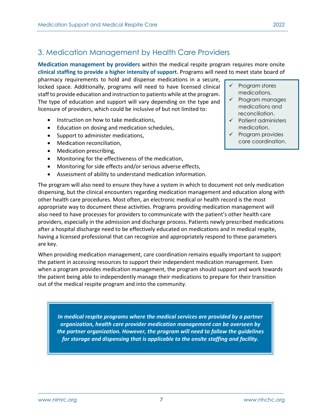# <span id="page-6-0"></span>3. Medication Management by Health Care Providers

**Medication management by providers** within the medical respite program requires more onsite **clinical staffing to provide a higher intensity of support.** Programs will need to meet state board of

pharmacy requirements to hold and dispense medications in a secure, locked space. Additionally, programs will need to have licensed clinical staff to provide education and instruction to patients while at the program. The type of education and support will vary depending on the type and licensure of providers, which could be inclusive of but not limited to:

- Instruction on how to take medications,
- Education on dosing and medication schedules,
- Support to administer medications,
- Medication reconciliation,
- Medication prescribing,
- Monitoring for the effectiveness of the medication,
- Monitoring for side effects and/or serious adverse effects,
- Assessment of ability to understand medication information.
- $\checkmark$  Program stores medications.
- $\checkmark$  Program manages medications and reconciliation.
- $\checkmark$  Patient administers medication.
- $\checkmark$  Program provides care coordination.

The program will also need to ensure they have a system in which to document not only medication dispensing, but the clinical encounters regarding medication management and education along with other health care procedures. Most often, an electronic medical or health record is the most appropriate way to document these activities. Programs providing medication management will also need to have processes for providers to communicate with the patient's other health care providers, especially in the admission and discharge process. Patients newly prescribed medications after a hospital discharge need to be effectively educated on medications and in medical respite, having a licensed professional that can recognize and appropriately respond to these parameters are key.

When providing medication management, care coordination remains equally important to support the patient in accessing resources to support their independent medication management. Even when a program provides medication management, the program should support and work towards the patient being able to independently manage their medications to prepare for their transition out of the medical respite program and into the community.

*In medical respite programs where the medical services are provided by a partner organization, health care provider medication management can be overseen by the partner organization. However, the program will need to follow the guidelines for storage and dispensing that is applicable to the onsite staffing and facility.*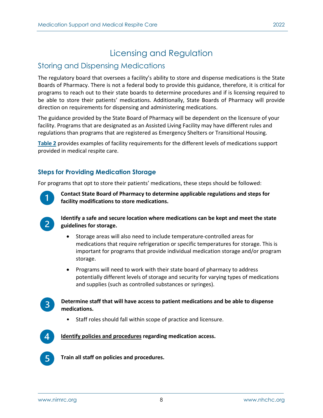# Licensing and Regulation

## <span id="page-7-1"></span><span id="page-7-0"></span>Storing and Dispensing Medications

The regulatory board that oversees a facility's ability to store and dispense medications is the State Boards of Pharmacy. There is not a federal body to provide this guidance, therefore, it is critical for programs to reach out to their state boards to determine procedures and if is licensing required to be able to store their patients' medications. Additionally, State Boards of Pharmacy will provide direction on requirements for dispensing and administering medications.

The guidance provided by the State Board of Pharmacy will be dependent on the licensure of your facility. Programs that are designated as an Assisted Living Facility may have different rules and regulations than programs that are registered as Emergency Shelters or Transitional Housing.

**[Table 2](#page-10-0)** provides examples of facility requirements for the different levels of medications support provided in medical respite care.

## <span id="page-7-2"></span>**Steps for Providing Medication Storage**

For programs that opt to store their patients' medications, these steps should be followed:



**Contact State Board of Pharmacy to determine applicable regulations and steps for facility modifications to store medications.** 



**Identify a safe and secure location where medications can be kept and meet the state guidelines for storage.** 

- Storage areas will also need to include temperature-controlled areas for medications that require refrigeration or specific temperatures for storage. This is important for programs that provide individual medication storage and/or program storage.
- Programs will need to work with their state board of pharmacy to address potentially different levels of storage and security for varying types of medications and supplies (such as controlled substances or syringes).



#### **Determine staff that will have access to patient medications and be able to dispense medications.**

• Staff roles should fall within scope of practice and licensure.



**[Identify policies and procedures](#page-8-0) regarding medication access.** 



**Train all staff on policies and procedures.**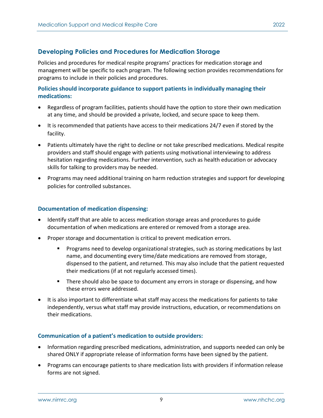### <span id="page-8-0"></span>**Developing Policies and Procedures for Medication Storage**

Policies and procedures for medical respite programs' practices for medication storage and management will be specific to each program. The following section provides recommendations for programs to include in their policies and procedures.

#### **Policies should incorporate guidance to support patients in individually managing their medications:**

- Regardless of program facilities, patients should have the option to store their own medication at any time, and should be provided a private, locked, and secure space to keep them.
- It is recommended that patients have access to their medications 24/7 even if stored by the facility.
- Patients ultimately have the right to decline or not take prescribed medications. Medical respite providers and staff should engage with patients using motivational interviewing to address hesitation regarding medications. Further intervention, such as health education or advocacy skills for talking to providers may be needed.
- Programs may need additional training on harm reduction strategies and support for developing policies for controlled substances.

#### **Documentation of medication dispensing:**

- Identify staff that are able to access medication storage areas and procedures to guide documentation of when medications are entered or removed from a storage area.
- Proper storage and documentation is critical to prevent medication errors.
	- **Programs need to develop organizational strategies, such as storing medications by last** name, and documenting every time/date medications are removed from storage, dispensed to the patient, and returned. This may also include that the patient requested their medications (if at not regularly accessed times).
	- **There should also be space to document any errors in storage or dispensing, and how** these errors were addressed.
- It is also important to differentiate what staff may access the medications for patients to take independently, versus what staff may provide instructions, education, or recommendations on their medications.

#### **Communication of a patient's medication to outside providers:**

- Information regarding prescribed medications, administration, and supports needed can only be shared ONLY if appropriate release of information forms have been signed by the patient.
- Programs can encourage patients to share medication lists with providers if information release forms are not signed.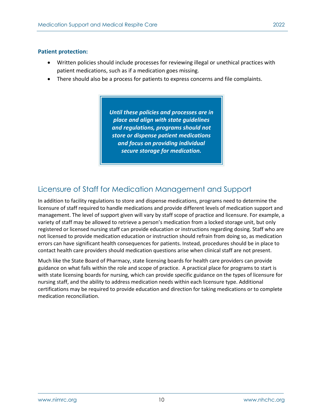#### **Patient protection:**

- Written policies should include processes for reviewing illegal or unethical practices with patient medications, such as if a medication goes missing.
- There should also be a process for patients to express concerns and file complaints.

*Until these policies and processes are in place and align with state guidelines and regulations, programs should not store or dispense patient medications and focus on providing individual secure storage for medication.*

## <span id="page-9-0"></span>Licensure of Staff for Medication Management and Support

In addition to facility regulations to store and dispense medications, programs need to determine the licensure of staff required to handle medications and provide different levels of medication support and management. The level of support given will vary by staff scope of practice and licensure. For example, a variety of staff may be allowed to retrieve a person's medication from a locked storage unit, but only registered or licensed nursing staff can provide education or instructions regarding dosing. Staff who are not licensed to provide medication education or instruction should refrain from doing so, as medication errors can have significant health consequences for patients. Instead, procedures should be in place to contact health care providers should medication questions arise when clinical staff are not present.

Much like the State Board of Pharmacy, state licensing boards for health care providers can provide guidance on what falls within the role and scope of practice. A practical place for programs to start is with state licensing boards for nursing, which can provide specific guidance on the types of licensure for nursing staff, and the ability to address medication needs within each licensure type. Additional certifications may be required to provide education and direction for taking medications or to complete medication reconciliation.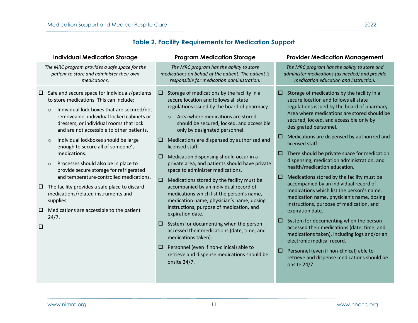## **Table 2. Facility Requirements for Medication Support**

<span id="page-10-0"></span>

| <b>Individual Medication Storage</b>                                                                                                                                                                                                                                                                                                                                                                                                                                                                                                                                                                                                                                                                                              | <b>Program Medication Storage</b>                                                                                                                                                                                                                                                                                                                                                                                                                                                                                                                                                                                                                                                                                                                                                                                                                                                                                                                                                     | <b>Provider Medication Management</b>                                                                                                                                                                                                                                                                                                                                                                                                                                                                                                                                                                                                                                                                                                                                                                                                                                                                                                                                                                                     |
|-----------------------------------------------------------------------------------------------------------------------------------------------------------------------------------------------------------------------------------------------------------------------------------------------------------------------------------------------------------------------------------------------------------------------------------------------------------------------------------------------------------------------------------------------------------------------------------------------------------------------------------------------------------------------------------------------------------------------------------|---------------------------------------------------------------------------------------------------------------------------------------------------------------------------------------------------------------------------------------------------------------------------------------------------------------------------------------------------------------------------------------------------------------------------------------------------------------------------------------------------------------------------------------------------------------------------------------------------------------------------------------------------------------------------------------------------------------------------------------------------------------------------------------------------------------------------------------------------------------------------------------------------------------------------------------------------------------------------------------|---------------------------------------------------------------------------------------------------------------------------------------------------------------------------------------------------------------------------------------------------------------------------------------------------------------------------------------------------------------------------------------------------------------------------------------------------------------------------------------------------------------------------------------------------------------------------------------------------------------------------------------------------------------------------------------------------------------------------------------------------------------------------------------------------------------------------------------------------------------------------------------------------------------------------------------------------------------------------------------------------------------------------|
| The MRC program provides a safe space for the<br>patient to store and administer their own<br>medications.                                                                                                                                                                                                                                                                                                                                                                                                                                                                                                                                                                                                                        | The MRC program has the ability to store<br>medications on behalf of the patient. The patient is<br>responsible for medication administration.                                                                                                                                                                                                                                                                                                                                                                                                                                                                                                                                                                                                                                                                                                                                                                                                                                        | The MRC program has the ability to store and<br>administer medications (as needed) and provide<br>medication education and instruction.                                                                                                                                                                                                                                                                                                                                                                                                                                                                                                                                                                                                                                                                                                                                                                                                                                                                                   |
| Safe and secure space for individuals/patients<br>0<br>to store medications. This can include:<br>Individual lock boxes that are secured/not<br>$\circ$<br>removeable, individual locked cabinets or<br>dressers, or individual rooms that lock<br>and are not accessible to other patients.<br>Individual lockboxes should be large<br>$\circ$<br>enough to secure all of someone's<br>medications.<br>Processes should also be in place to<br>$\circ$<br>provide secure storage for refrigerated<br>and temperature-controlled medications.<br>The facility provides a safe place to discard<br>$\Box$<br>medications/related instruments and<br>supplies.<br>Medications are accessible to the patient<br>□<br>24/7.<br>$\Box$ | Storage of medications by the facility in a<br>□<br>secure location and follows all state<br>regulations issued by the board of pharmacy.<br>Area where medications are stored<br>$\circ$<br>should be secured, locked, and accessible<br>only by designated personnel.<br>Medications are dispensed by authorized and<br>□<br>licensed staff.<br>Medication dispensing should occur in a<br>□<br>private area, and patients should have private<br>space to administer medications.<br>Medications stored by the facility must be<br>$\Box$<br>accompanied by an individual record of<br>medications which list the person's name,<br>medication name, physician's name, dosing<br>instructions, purpose of medication, and<br>expiration date.<br>System for documenting when the person<br>⊔<br>accessed their medications (date, time, and<br>medications taken).<br>Personnel (even if non-clinical) able to<br>□<br>retrieve and dispense medications should be<br>onsite 24/7. | Storage of medications by the facility in a<br>□<br>secure location and follows all state<br>regulations issued by the board of pharmacy.<br>Area where medications are stored should be<br>secured, locked, and accessible only by<br>designated personnel.<br>Medications are dispensed by authorized and<br>□<br>licensed staff.<br>There should be private space for medication<br>□<br>dispensing, medication administration, and<br>health/medication education.<br>Medications stored by the facility must be<br>□<br>accompanied by an individual record of<br>medications which list the person's name,<br>medication name, physician's name, dosing<br>instructions, purpose of medication, and<br>expiration date.<br>System for documenting when the person<br>о<br>accessed their medications (date, time, and<br>medications taken), including logs and/or an<br>electronic medical record.<br>Personnel (even if non-clinical) able to<br>□<br>retrieve and dispense medications should be<br>onsite 24/7. |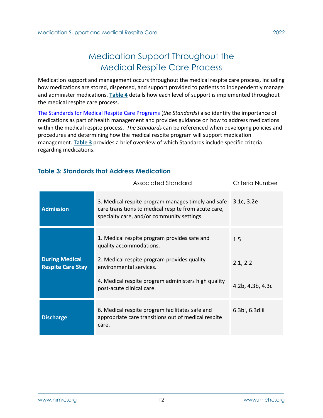# Medication Support Throughout the Medical Respite Care Process

<span id="page-11-0"></span>Medication support and management occurs throughout the medical respite care process, including how medications are stored, dispensed, and support provided to patients to independently manage and administer medications. **[Table 4](#page-12-0)** details how each level of support is implemented throughout the medical respite care process.

[The Standards for Medical Respite Care Programs \(](https://nimrc.org/standards-for-medical-respite-programs/)*the Standards*) also identify the importance of medications as part of health management and provides guidance on how to address medications within the medical respite process. *The Standards* can be referenced when developing policies and procedures and determining how the medical respite program will support medication management. **[Table 3](#page-11-1)** provides a brief overview of which Standards include specific criteria regarding medications.

## <span id="page-11-1"></span>**Table 3: Standards that Address Medication**

|                                                   | Associated Standard                                                                                                                                                                                                                   | Criteria Number                     |
|---------------------------------------------------|---------------------------------------------------------------------------------------------------------------------------------------------------------------------------------------------------------------------------------------|-------------------------------------|
| <b>Admission</b>                                  | 3. Medical respite program manages timely and safe<br>care transitions to medical respite from acute care,<br>specialty care, and/or community settings.                                                                              | 3.1c, 3.2e                          |
| <b>During Medical</b><br><b>Respite Care Stay</b> | 1. Medical respite program provides safe and<br>quality accommodations.<br>2. Medical respite program provides quality<br>environmental services.<br>4. Medical respite program administers high quality<br>post-acute clinical care. | 1.5<br>2.1, 2.2<br>4.2b, 4.3b, 4.3c |
| <b>Discharge</b>                                  | 6. Medical respite program facilitates safe and<br>appropriate care transitions out of medical respite<br>care.                                                                                                                       | 6.3bi, 6.3diii                      |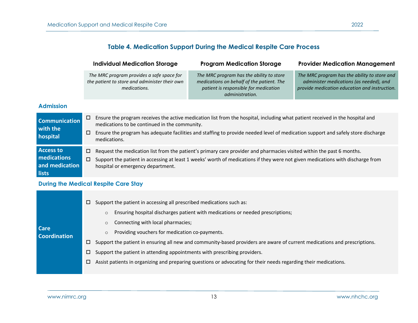## **Table 4. Medication Support During the Medical Respite Care Process**

|                                             | <b>Individual Medication Storage</b>                                                                       | <b>Program Medication Storage</b>                                                                                                                 | <b>Provider Medication Management</b>                                                                                                    |  |  |
|---------------------------------------------|------------------------------------------------------------------------------------------------------------|---------------------------------------------------------------------------------------------------------------------------------------------------|------------------------------------------------------------------------------------------------------------------------------------------|--|--|
|                                             | The MRC program provides a safe space for<br>the patient to store and administer their own<br>medications. | The MRC program has the ability to store<br>medications on behalf of the patient. The<br>patient is responsible for medication<br>administration. | The MRC program has the ability to store and<br>administer medications (as needed), and<br>provide medication education and instruction. |  |  |
| <b>Admission</b>                            |                                                                                                            |                                                                                                                                                   |                                                                                                                                          |  |  |
| <b>Communication</b><br><b>September 19</b> | □<br>medications to be continued in the community.                                                         | Ensure the program receives the active medication list from the hospital, including what patient received in the hospital and                     |                                                                                                                                          |  |  |

- **with the hospital** Ensure the program has adequate facilities and staffing to provide needed level of medication support and safely store discharge medications.
- <span id="page-12-0"></span>**Access to**   $\Box$  Request the medication list from the patient's primary care provider and pharmacies visited within the past 6 months.
- **medications and medication**  Support the patient in accessing at least 1 weeks' worth of medications if they were not given medications with discharge from hospital or emergency department.

#### **During the Medical Respite Care Stay**

**lists**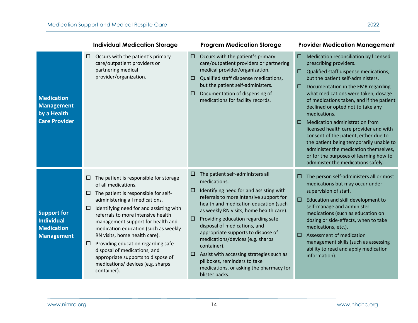|                                                                                   |                                      | <b>Individual Medication Storage</b>                                                                                                                                                                                                                                                                                                                                                                                                                                                                   |                                 | <b>Program Medication Storage</b>                                                                                                                                                                                                                                                                                                                                                                                                                                                                                                  |                  | <b>Provider Medication Management</b>                                                                                                                                                                                                                                                                                                                                                                                                                                                                                                                                                                                |
|-----------------------------------------------------------------------------------|--------------------------------------|--------------------------------------------------------------------------------------------------------------------------------------------------------------------------------------------------------------------------------------------------------------------------------------------------------------------------------------------------------------------------------------------------------------------------------------------------------------------------------------------------------|---------------------------------|------------------------------------------------------------------------------------------------------------------------------------------------------------------------------------------------------------------------------------------------------------------------------------------------------------------------------------------------------------------------------------------------------------------------------------------------------------------------------------------------------------------------------------|------------------|----------------------------------------------------------------------------------------------------------------------------------------------------------------------------------------------------------------------------------------------------------------------------------------------------------------------------------------------------------------------------------------------------------------------------------------------------------------------------------------------------------------------------------------------------------------------------------------------------------------------|
| <b>Medication</b><br><b>Management</b><br>by a Health<br><b>Care Provider</b>     | $\Box$                               | Occurs with the patient's primary<br>care/outpatient providers or<br>partnering medical<br>provider/organization.                                                                                                                                                                                                                                                                                                                                                                                      | $\Box$<br>□<br>$\Box$           | Occurs with the patient's primary<br>care/outpatient providers or partnering<br>medical provider/organization.<br>Qualified staff dispense medications,<br>but the patient self-administers.<br>Documentation of dispensing of<br>medications for facility records.                                                                                                                                                                                                                                                                | □<br>□<br>□<br>0 | Medication reconciliation by licensed<br>prescribing providers.<br>Qualified staff dispense medications,<br>but the patient self-administers.<br>Documentation in the EMR regarding<br>what medications were taken, dosage<br>of medications taken, and if the patient<br>declined or opted not to take any<br>medications.<br>Medication administration from<br>licensed health care provider and with<br>consent of the patient, either due to<br>the patient being temporarily unable to<br>administer the medication themselves,<br>or for the purposes of learning how to<br>administer the medications safely. |
| <b>Support for</b><br><b>Individual</b><br><b>Medication</b><br><b>Management</b> | $\Box$<br>$\Box$<br>$\Box$<br>$\Box$ | The patient is responsible for storage<br>of all medications.<br>The patient is responsible for self-<br>administering all medications.<br>Identifying need for and assisting with<br>referrals to more intensive health<br>management support for health and<br>medication education (such as weekly<br>RN visits, home health care).<br>Providing education regarding safe<br>disposal of medications, and<br>appropriate supports to dispose of<br>medications/ devices (e.g. sharps<br>container). | 0<br>$\Box$<br>$\Box$<br>$\Box$ | The patient self-administers all<br>medications.<br>Identifying need for and assisting with<br>referrals to more intensive support for<br>health and medication education (such<br>as weekly RN visits, home health care).<br>Providing education regarding safe<br>disposal of medications, and<br>appropriate supports to dispose of<br>medications/devices (e.g. sharps<br>container).<br>Assist with accessing strategies such as<br>pillboxes, reminders to take<br>medications, or asking the pharmacy for<br>blister packs. | □<br>$\Box$<br>□ | The person self-administers all or most<br>medications but may occur under<br>supervision of staff.<br>Education and skill development to<br>self-manage and administer<br>medications (such as education on<br>dosing or side-effects, when to take<br>medications, etc.).<br>Assessment of medication<br>management skills (such as assessing<br>ability to read and apply medication<br>information).                                                                                                                                                                                                             |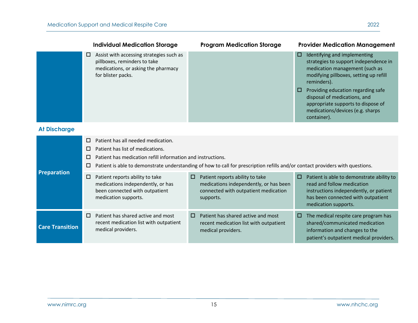|                        |                            | <b>Individual Medication Storage</b>                                                                                                                                                                                                                                   |   | <b>Program Medication Storage</b>                                                                                              |                 | <b>Provider Medication Management</b>                                                                                                                                                                                                                                                                                           |
|------------------------|----------------------------|------------------------------------------------------------------------------------------------------------------------------------------------------------------------------------------------------------------------------------------------------------------------|---|--------------------------------------------------------------------------------------------------------------------------------|-----------------|---------------------------------------------------------------------------------------------------------------------------------------------------------------------------------------------------------------------------------------------------------------------------------------------------------------------------------|
|                        | □                          | Assist with accessing strategies such as<br>pillboxes, reminders to take<br>medications, or asking the pharmacy<br>for blister packs.                                                                                                                                  |   |                                                                                                                                | о<br><b>III</b> | Identifying and implementing<br>strategies to support independence in<br>medication management (such as<br>modifying pillboxes, setting up refill<br>reminders).<br>Providing education regarding safe<br>disposal of medications, and<br>appropriate supports to dispose of<br>medications/devices (e.g. sharps<br>container). |
| <b>At Discharge</b>    |                            |                                                                                                                                                                                                                                                                        |   |                                                                                                                                |                 |                                                                                                                                                                                                                                                                                                                                 |
|                        | $\Box$<br>□<br>$\Box$<br>□ | Patient has all needed medication.<br>Patient has list of medications.<br>Patient has medication refill information and instructions.<br>Patient is able to demonstrate understanding of how to call for prescription refills and/or contact providers with questions. |   |                                                                                                                                |                 |                                                                                                                                                                                                                                                                                                                                 |
| Preparation            | $\Box$                     | Patient reports ability to take<br>medications independently, or has<br>been connected with outpatient<br>medication supports.                                                                                                                                         | □ | Patient reports ability to take<br>medications independently, or has been<br>connected with outpatient medication<br>supports. | o               | Patient is able to demonstrate ability to<br>read and follow medication<br>instructions independently, or patient<br>has been connected with outpatient<br>medication supports.                                                                                                                                                 |
| <b>Care Transition</b> | □                          | Patient has shared active and most<br>recent medication list with outpatient<br>medical providers.                                                                                                                                                                     | 0 | Patient has shared active and most<br>recent medication list with outpatient<br>medical providers.                             | $\Box$          | The medical respite care program has<br>shared/communicated medication<br>information and changes to the<br>patient's outpatient medical providers.                                                                                                                                                                             |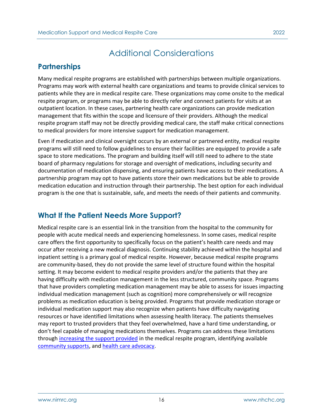## <span id="page-15-1"></span><span id="page-15-0"></span>**Partnerships**

Many medical respite programs are established with partnerships between multiple organizations. Programs may work with external health care organizations and teams to provide clinical services to patients while they are in medical respite care. These organizations may come onsite to the medical respite program, or programs may be able to directly refer and connect patients for visits at an outpatient location. In these cases, partnering health care organizations can provide medication management that fits within the scope and licensure of their providers. Although the medical respite program staff may not be directly providing medical care, the staff make critical connections to medical providers for more intensive support for medication management.

Even if medication and clinical oversight occurs by an external or partnered entity, medical respite programs will still need to follow guidelines to ensure their facilities are equipped to provide a safe space to store medications. The program and building itself will still need to adhere to the state board of pharmacy regulations for storage and oversight of medications, including security and documentation of medication dispensing, and ensuring patients have access to their medications. A partnership program may opt to have patients store their own medications but be able to provide medication education and instruction through their partnership. The best option for each individual program is the one that is sustainable, safe, and meets the needs of their patients and community.

## <span id="page-15-2"></span>**What If the Patient Needs More Support?**

Medical respite care is an essential link in the transition from the hospital to the community for people with acute medical needs and experiencing homelessness. In some cases, medical respite care offers the first opportunity to specifically focus on the patient's health care needs and may occur after receiving a new medical diagnosis. Continuing stability achieved within the hospital and inpatient setting is a primary goal of medical respite. However, because medical respite programs are community-based, they do not provide the same level of structure found within the hospital setting. It may become evident to medical respite providers and/or the patients that they are having difficulty with medication management in the less structured, community space. Programs that have providers completing medication management may be able to assess for issues impacting individual medication management (such as cognition) more comprehensively or will recognize problems as medication education is being provided. Programs that provide medication storage or individual medication support may also recognize when patients have difficulty navigating resources or have identified limitations when assessing health literacy. The patients themselves may report to trusted providers that they feel overwhelmed, have a hard time understanding, or don't feel capable of managing medications themselves. Programs can address these limitations through [increasing the support provided](#page-16-0) in the medical respite program, identifying available [community supports,](#page-16-1) and [health care advocacy.](#page-16-2)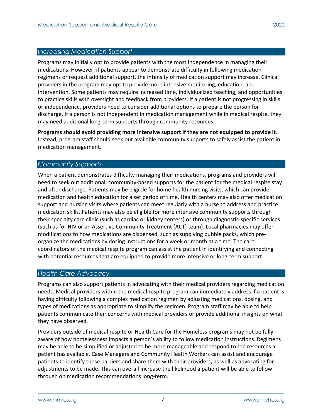#### <span id="page-16-0"></span>*Increasing Medication Support*

Programs may initially opt to provide patients with the most independence in managing their medications. However, if patients appear to demonstrate difficulty in following medication regimens or request additional support, the intensity of medication support may increase. Clinical providers in the program may opt to provide more intensive monitoring, education, and intervention. Some patients may require increased time, individualized teaching, and opportunities to practice skills with oversight and feedback from providers. If a patient is not progressing in skills or independence, providers need to consider additional options to prepare the person for discharge. If a person is not independent in medication management while in medical respite, they may need additional long-term supports through community resources.

**Programs should avoid providing more intensive support if they are not equipped to provide it**. Instead, program staff should seek out available community supports to safely assist the patient in medication management.

#### <span id="page-16-1"></span>*Community Supports*

When a patient demonstrates difficulty managing their medications, programs and providers will need to seek out additional, community-based supports for the patient for the medical respite stay and after discharge. Patients may be eligible for home health nursing visits, which can provide medication and health education for a set period of time. Health centers may also offer medication support and nursing visits where patients can meet regularly with a nurse to address and practice medication skills. Patients may also be eligible for more intensive community supports through their specialty care clinic (such as cardiac or kidney centers) or through diagnostic-specific services (such as for HIV or an Assertive Community Treatment [ACT] team). Local pharmacies may offer modifications to how medications are dispensed, such as supplying bubble packs, which preorganize the medications by dosing instructions for a week or month at a time. The care coordinators of the medical respite program can assist the patient in identifying and connecting with potential resources that are equipped to provide more intensive or long-term support.

#### <span id="page-16-2"></span>*Health Care Advocacy*

Programs can also support patients in advocating with their medical providers regarding medication needs. Medical providers within the medical respite program can immediately address if a patient is having difficulty following a complex medication regimen by adjusting medications, dosing, and types of medications as appropriate to simplify the regimen. Program staff may be able to help patients communicate their concerns with medical providers or provide additional insights on what they have observed.

Providers outside of medical respite or Health Care for the Homeless programs may not be fully aware of how homelessness impacts a person's ability to follow medication instructions. Regimens may be able to be simplified or adjusted to be more manageable and respond to the resources a patient has available. Case Managers and Community Health Workers can assist and encourage patients to identify these barriers and share them with their providers, as well as advocating for adjustments to be made. This can overall increase the likelihood a patient will be able to follow through on medication recommendations long-term.